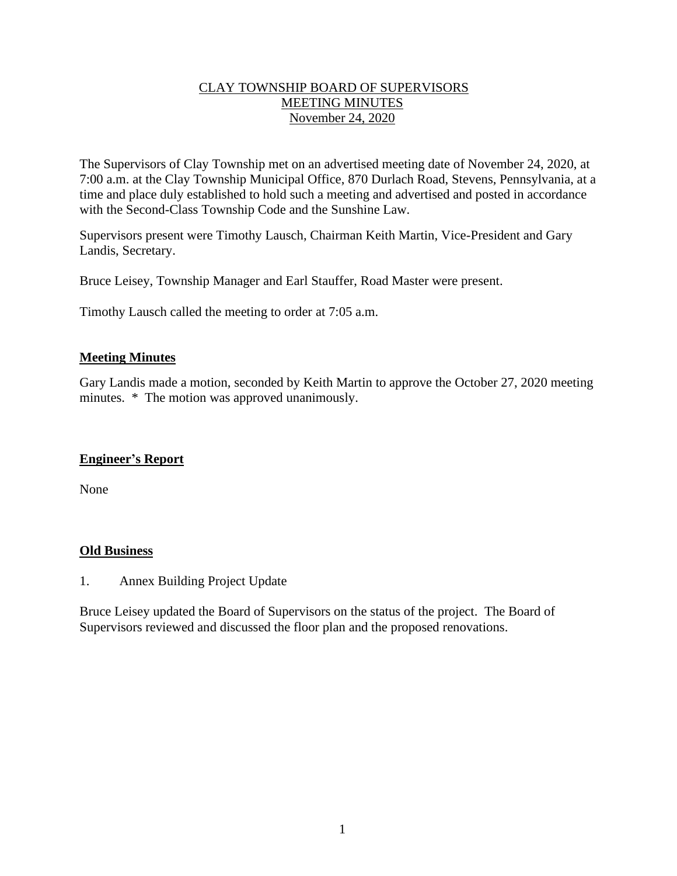## CLAY TOWNSHIP BOARD OF SUPERVISORS MEETING MINUTES November 24, 2020

The Supervisors of Clay Township met on an advertised meeting date of November 24, 2020, at 7:00 a.m. at the Clay Township Municipal Office, 870 Durlach Road, Stevens, Pennsylvania, at a time and place duly established to hold such a meeting and advertised and posted in accordance with the Second-Class Township Code and the Sunshine Law.

Supervisors present were Timothy Lausch, Chairman Keith Martin, Vice-President and Gary Landis, Secretary.

Bruce Leisey, Township Manager and Earl Stauffer, Road Master were present.

Timothy Lausch called the meeting to order at 7:05 a.m.

### **Meeting Minutes**

Gary Landis made a motion, seconded by Keith Martin to approve the October 27, 2020 meeting minutes. \* The motion was approved unanimously.

#### **Engineer's Report**

None

#### **Old Business**

1. Annex Building Project Update

Bruce Leisey updated the Board of Supervisors on the status of the project. The Board of Supervisors reviewed and discussed the floor plan and the proposed renovations.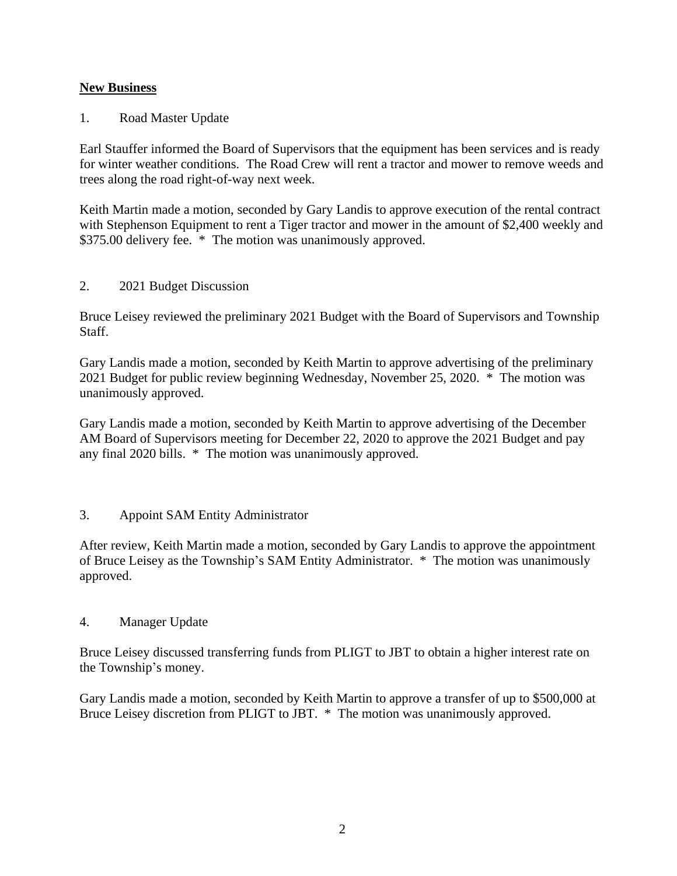## **New Business**

1. Road Master Update

Earl Stauffer informed the Board of Supervisors that the equipment has been services and is ready for winter weather conditions. The Road Crew will rent a tractor and mower to remove weeds and trees along the road right-of-way next week.

Keith Martin made a motion, seconded by Gary Landis to approve execution of the rental contract with Stephenson Equipment to rent a Tiger tractor and mower in the amount of \$2,400 weekly and \$375.00 delivery fee. \* The motion was unanimously approved.

#### 2. 2021 Budget Discussion

Bruce Leisey reviewed the preliminary 2021 Budget with the Board of Supervisors and Township Staff.

Gary Landis made a motion, seconded by Keith Martin to approve advertising of the preliminary 2021 Budget for public review beginning Wednesday, November 25, 2020. \* The motion was unanimously approved.

Gary Landis made a motion, seconded by Keith Martin to approve advertising of the December AM Board of Supervisors meeting for December 22, 2020 to approve the 2021 Budget and pay any final 2020 bills. \* The motion was unanimously approved.

## 3. Appoint SAM Entity Administrator

After review, Keith Martin made a motion, seconded by Gary Landis to approve the appointment of Bruce Leisey as the Township's SAM Entity Administrator. \* The motion was unanimously approved.

#### 4. Manager Update

Bruce Leisey discussed transferring funds from PLIGT to JBT to obtain a higher interest rate on the Township's money.

Gary Landis made a motion, seconded by Keith Martin to approve a transfer of up to \$500,000 at Bruce Leisey discretion from PLIGT to JBT. \* The motion was unanimously approved.